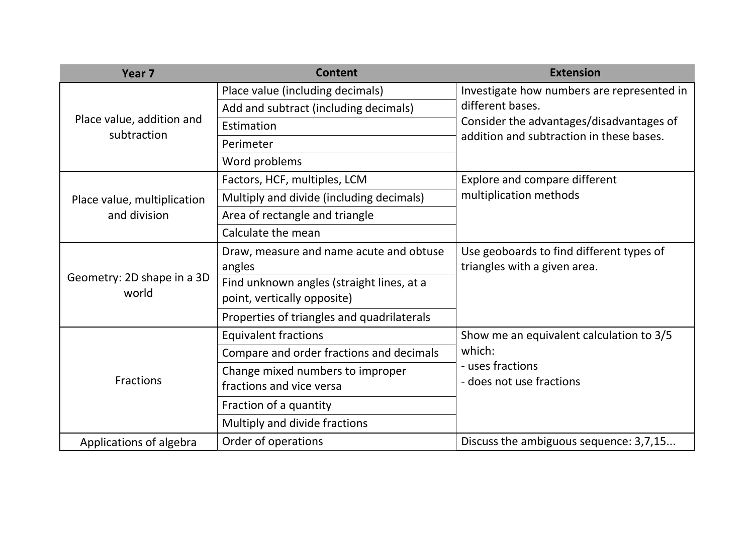| Year <sub>7</sub>                           | <b>Content</b>                             | <b>Extension</b>                           |  |
|---------------------------------------------|--------------------------------------------|--------------------------------------------|--|
| Place value, addition and<br>subtraction    | Place value (including decimals)           | Investigate how numbers are represented in |  |
|                                             | Add and subtract (including decimals)      | different bases.                           |  |
|                                             | Estimation                                 | Consider the advantages/disadvantages of   |  |
|                                             | Perimeter                                  | addition and subtraction in these bases.   |  |
|                                             | Word problems                              |                                            |  |
|                                             | Factors, HCF, multiples, LCM               | Explore and compare different              |  |
| Place value, multiplication<br>and division | Multiply and divide (including decimals)   | multiplication methods                     |  |
|                                             | Area of rectangle and triangle             |                                            |  |
|                                             | Calculate the mean                         |                                            |  |
| Geometry: 2D shape in a 3D<br>world         | Draw, measure and name acute and obtuse    | Use geoboards to find different types of   |  |
|                                             | angles                                     | triangles with a given area.               |  |
|                                             | Find unknown angles (straight lines, at a  |                                            |  |
|                                             | point, vertically opposite)                |                                            |  |
|                                             | Properties of triangles and quadrilaterals |                                            |  |
| <b>Fractions</b>                            | <b>Equivalent fractions</b>                | Show me an equivalent calculation to 3/5   |  |
|                                             | Compare and order fractions and decimals   | which:                                     |  |
|                                             | Change mixed numbers to improper           | - uses fractions                           |  |
|                                             | fractions and vice versa                   | - does not use fractions                   |  |
|                                             | Fraction of a quantity                     |                                            |  |
|                                             | Multiply and divide fractions              |                                            |  |
| Applications of algebra                     | Order of operations                        | Discuss the ambiguous sequence: 3,7,15     |  |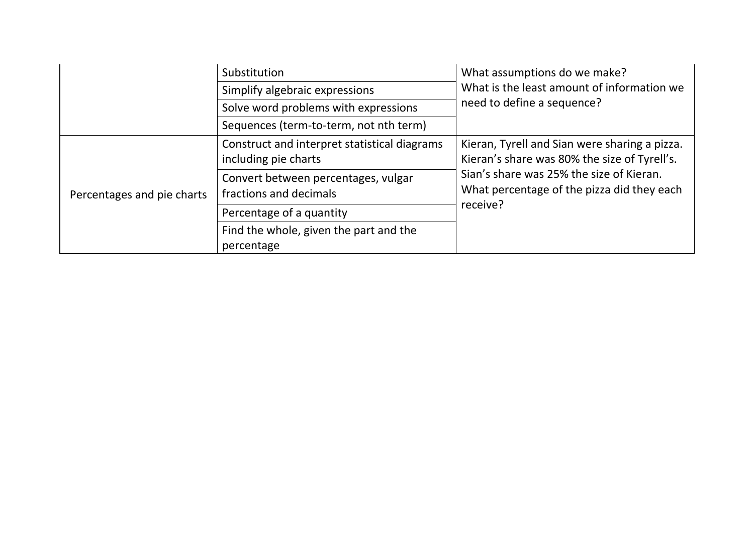|                            | Substitution                                                         | What assumptions do we make?<br>What is the least amount of information we<br>need to define a sequence? |  |
|----------------------------|----------------------------------------------------------------------|----------------------------------------------------------------------------------------------------------|--|
|                            | Simplify algebraic expressions                                       |                                                                                                          |  |
|                            | Solve word problems with expressions                                 |                                                                                                          |  |
|                            | Sequences (term-to-term, not nth term)                               |                                                                                                          |  |
| Percentages and pie charts | Construct and interpret statistical diagrams<br>including pie charts | Kieran, Tyrell and Sian were sharing a pizza.<br>Kieran's share was 80% the size of Tyrell's.            |  |
|                            | Convert between percentages, vulgar<br>fractions and decimals        | Sian's share was 25% the size of Kieran.<br>What percentage of the pizza did they each<br>receive?       |  |
|                            | Percentage of a quantity                                             |                                                                                                          |  |
|                            | Find the whole, given the part and the<br>percentage                 |                                                                                                          |  |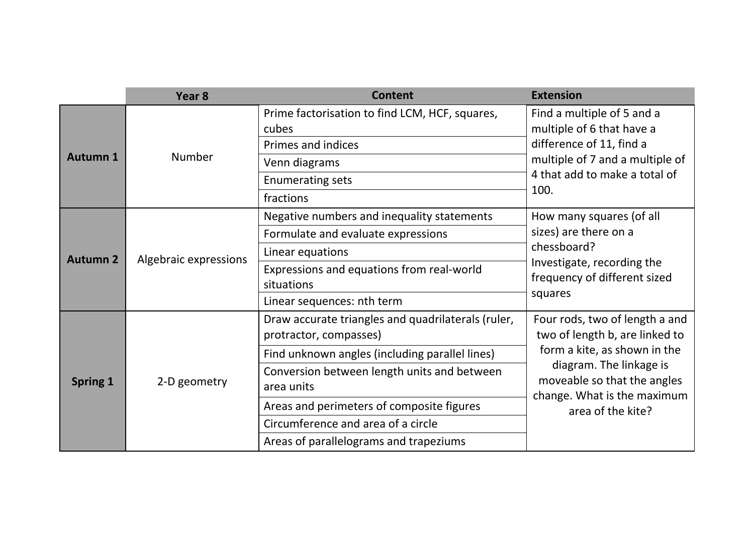|                 | Year <sub>8</sub>     | <b>Content</b>                                                               | <b>Extension</b>                                                                                                                                                                                               |  |
|-----------------|-----------------------|------------------------------------------------------------------------------|----------------------------------------------------------------------------------------------------------------------------------------------------------------------------------------------------------------|--|
| <b>Autumn 1</b> | <b>Number</b>         | Prime factorisation to find LCM, HCF, squares,<br>cubes                      | Find a multiple of 5 and a<br>multiple of 6 that have a<br>difference of 11, find a<br>multiple of 7 and a multiple of<br>4 that add to make a total of<br>100.                                                |  |
|                 |                       | Primes and indices                                                           |                                                                                                                                                                                                                |  |
|                 |                       | Venn diagrams                                                                |                                                                                                                                                                                                                |  |
|                 |                       | <b>Enumerating sets</b>                                                      |                                                                                                                                                                                                                |  |
|                 |                       | fractions                                                                    |                                                                                                                                                                                                                |  |
| <b>Autumn 2</b> | Algebraic expressions | Negative numbers and inequality statements                                   | How many squares (of all<br>sizes) are there on a<br>chessboard?<br>Investigate, recording the<br>frequency of different sized<br>squares                                                                      |  |
|                 |                       | Formulate and evaluate expressions                                           |                                                                                                                                                                                                                |  |
|                 |                       | Linear equations                                                             |                                                                                                                                                                                                                |  |
|                 |                       | Expressions and equations from real-world<br>situations                      |                                                                                                                                                                                                                |  |
|                 |                       | Linear sequences: nth term                                                   |                                                                                                                                                                                                                |  |
| <b>Spring 1</b> | 2-D geometry          | Draw accurate triangles and quadrilaterals (ruler,<br>protractor, compasses) | Four rods, two of length a and<br>two of length b, are linked to<br>form a kite, as shown in the<br>diagram. The linkage is<br>moveable so that the angles<br>change. What is the maximum<br>area of the kite? |  |
|                 |                       | Find unknown angles (including parallel lines)                               |                                                                                                                                                                                                                |  |
|                 |                       | Conversion between length units and between<br>area units                    |                                                                                                                                                                                                                |  |
|                 |                       | Areas and perimeters of composite figures                                    |                                                                                                                                                                                                                |  |
|                 |                       | Circumference and area of a circle                                           |                                                                                                                                                                                                                |  |
|                 |                       | Areas of parallelograms and trapeziums                                       |                                                                                                                                                                                                                |  |